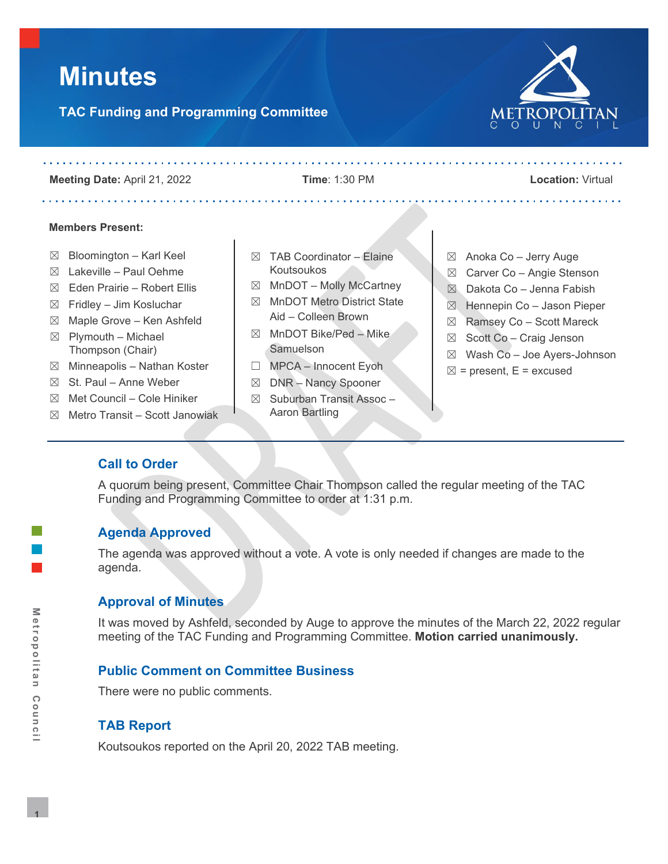# **Minutes**

# **TAC Funding and Programming Committee**

and and and and and and analysis are

POLITAN

**Meeting Date:** April 21, 2022 **Time**: 1:30 PM **Location:** Virtual

. . . . . . . . . . . . . . . . . . .

#### **Members Present:**

- $\boxtimes$  Bloomington Karl Keel
- $\boxtimes$  Lakeville Paul Oehme
- $\boxtimes$  Eden Prairie Robert Ellis
- $\boxtimes$  Fridley Jim Kosluchar
- $\boxtimes$  Maple Grove Ken Ashfeld  $\boxtimes$  Plymouth – Michael Thompson (Chair)
- $\boxtimes$  Minneapolis Nathan Koster
- $\boxtimes$  St. Paul Anne Weber
- $\boxtimes$  Met Council Cole Hiniker
- $\boxtimes$  Metro Transit Scott Janowiak
- $\boxtimes$  TAB Coordinator Elaine Koutsoukos
- $\boxtimes$  MnDOT Molly McCartney
- ☒ MnDOT Metro District State Aid – Colleen Brown
- $\boxtimes$  MnDOT Bike/Ped Mike **Samuelson**
- ☐ MPCA Innocent Eyoh
- ☒ DNR Nancy Spooner
- $\boxtimes$  Suburban Transit Assoc Aaron Bartling
- $\boxtimes$  Anoka Co Jerry Auge
- ☒ Carver Co Angie Stenson
- $\boxtimes$  Dakota Co Jenna Fabish
- ☒ Hennepin Co Jason Pieper
- ☒ Ramsey Co Scott Mareck
- $\boxtimes$  Scott Co Craig Jenson
- ☒ Wash Co Joe Ayers-Johnson
- $\boxtimes$  = present, E = excused

## **Call to Order**

A quorum being present, Committee Chair Thompson called the regular meeting of the TAC Funding and Programming Committee to order at 1:31 p.m.

## **Agenda Approved**

The agenda was approved without a vote. A vote is only needed if changes are made to the agenda.

## **Approval of Minutes**

It was moved by Ashfeld, seconded by Auge to approve the minutes of the March 22, 2022 regular meeting of the TAC Funding and Programming Committee. **Motion carried unanimously.**

## **Public Comment on Committee Business**

There were no public comments.

## **TAB Report**

Koutsoukos reported on the April 20, 2022 TAB meeting.

. . . . . . . . . . . . .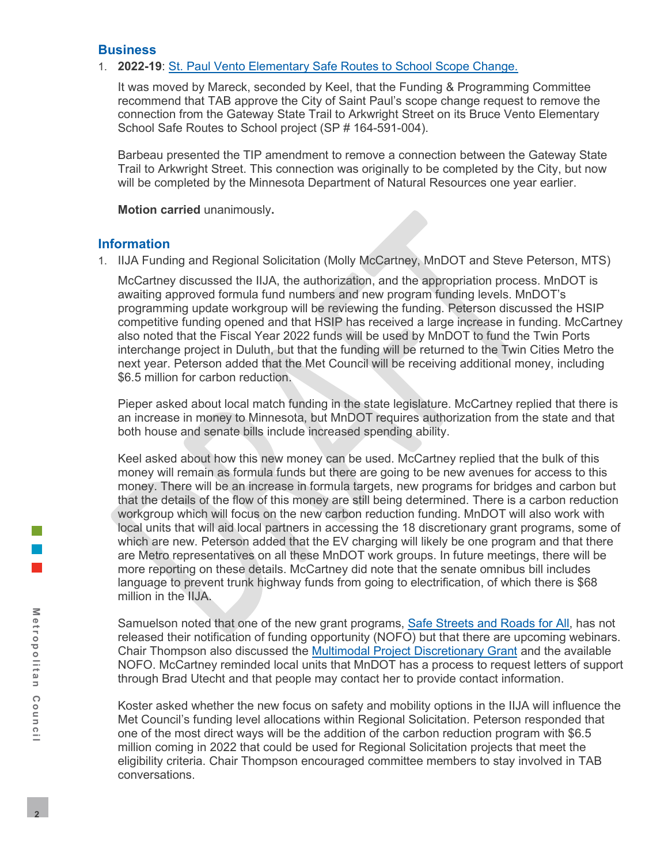#### **Business**

#### 1. **2022-19**: [St. Paul Vento Elementary Safe Routes to School Scope Change.](https://metrocouncil.org/Council-Meetings/Committees/Transportation-Advisory-Board-TAB/TAB-Technical-Advisory-Committee/TAC-Funding-and-Programming-Committee/2022/TAC-Funding-Programming-4-21-22/2022-19_AT_StPaulVentoScopeChange.aspx)

It was moved by Mareck, seconded by Keel, that the Funding & Programming Committee recommend that TAB approve the City of Saint Paul's scope change request to remove the connection from the Gateway State Trail to Arkwright Street on its Bruce Vento Elementary School Safe Routes to School project (SP # 164-591-004).

Barbeau presented the TIP amendment to remove a connection between the Gateway State Trail to Arkwright Street. This connection was originally to be completed by the City, but now will be completed by the Minnesota Department of Natural Resources one year earlier.

**Motion carried** unanimously**.**

#### **Information**

1. IIJA Funding and Regional Solicitation (Molly McCartney, MnDOT and Steve Peterson, MTS)

McCartney discussed the IIJA, the authorization, and the appropriation process. MnDOT is awaiting approved formula fund numbers and new program funding levels. MnDOT's programming update workgroup will be reviewing the funding. Peterson discussed the HSIP competitive funding opened and that HSIP has received a large increase in funding. McCartney also noted that the Fiscal Year 2022 funds will be used by MnDOT to fund the Twin Ports interchange project in Duluth, but that the funding will be returned to the Twin Cities Metro the next year. Peterson added that the Met Council will be receiving additional money, including \$6.5 million for carbon reduction.

Pieper asked about local match funding in the state legislature. McCartney replied that there is an increase in money to Minnesota, but MnDOT requires authorization from the state and that both house and senate bills include increased spending ability.

Keel asked about how this new money can be used. McCartney replied that the bulk of this money will remain as formula funds but there are going to be new avenues for access to this money. There will be an increase in formula targets, new programs for bridges and carbon but that the details of the flow of this money are still being determined. There is a carbon reduction workgroup which will focus on the new carbon reduction funding. MnDOT will also work with local units that will aid local partners in accessing the 18 discretionary grant programs, some of which are new. Peterson added that the EV charging will likely be one program and that there are Metro representatives on all these MnDOT work groups. In future meetings, there will be more reporting on these details. McCartney did note that the senate omnibus bill includes language to prevent trunk highway funds from going to electrification, of which there is \$68 million in the IIJA.

Samuelson noted that one of the new grant programs, [Safe Streets and Roads for All,](https://www.transportation.gov/grants/SS4A/webinars) has not released their notification of funding opportunity (NOFO) but that there are upcoming webinars. Chair Thompson also discussed the [Multimodal Project Discretionary Grant](https://www.transportation.gov/grants/multimodal-project-discretionary-grant-notice-funding-opportunity) and the available NOFO. McCartney reminded local units that MnDOT has a process to request letters of support through Brad Utecht and that people may contact her to provide contact information.

Koster asked whether the new focus on safety and mobility options in the IIJA will influence the Met Council's funding level allocations within Regional Solicitation. Peterson responded that one of the most direct ways will be the addition of the carbon reduction program with \$6.5 million coming in 2022 that could be used for Regional Solicitation projects that meet the eligibility criteria. Chair Thompson encouraged committee members to stay involved in TAB conversations.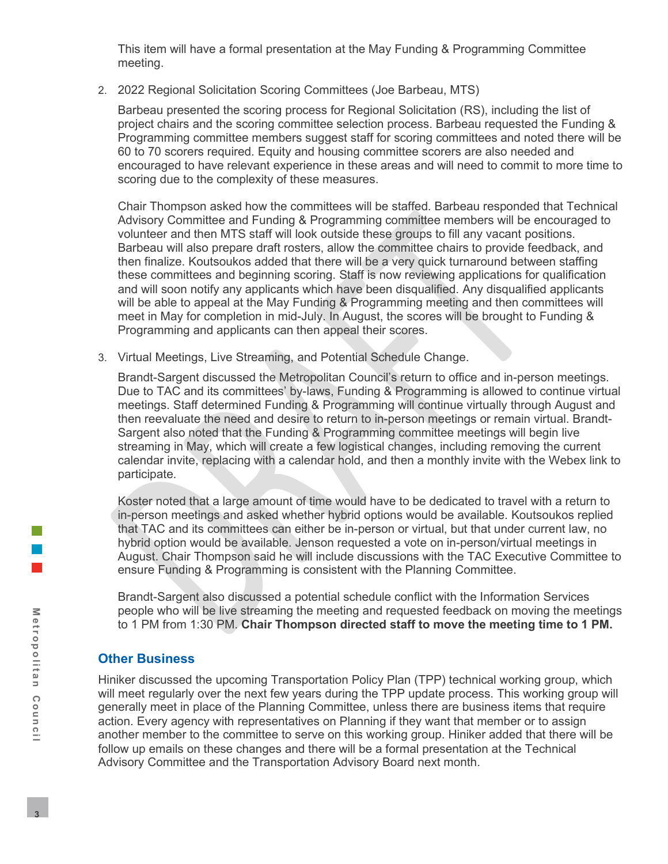This item will have a formal presentation at the May Funding & Programming Committee meeting.

2. 2022 Regional Solicitation Scoring Committees (Joe Barbeau, MTS)

Barbeau presented the scoring process for Regional Solicitation (RS), including the list of project chairs and the scoring committee selection process. Barbeau requested the Funding & Programming committee members suggest staff for scoring committees and noted there will be 60 to 70 scorers required. Equity and housing committee scorers are also needed and encouraged to have relevant experience in these areas and will need to commit to more time to scoring due to the complexity of these measures.

Chair Thompson asked how the committees will be staffed. Barbeau responded that Technical Advisory Committee and Funding & Programming committee members will be encouraged to volunteer and then MTS staff will look outside these groups to fill any vacant positions. Barbeau will also prepare draft rosters, allow the committee chairs to provide feedback, and then finalize. Koutsoukos added that there will be a very quick turnaround between staffing these committees and beginning scoring. Staff is now reviewing applications for qualification and will soon notify any applicants which have been disqualified. Any disqualified applicants will be able to appeal at the May Funding & Programming meeting and then committees will meet in May for completion in mid-July. In August, the scores will be brought to Funding & Programming and applicants can then appeal their scores.

3. Virtual Meetings, Live Streaming, and Potential Schedule Change.

Brandt-Sargent discussed the Metropolitan Council's return to office and in-person meetings. Due to TAC and its committees' by-laws, Funding & Programming is allowed to continue virtual meetings. Staff determined Funding & Programming will continue virtually through August and then reevaluate the need and desire to return to in-person meetings or remain virtual. Brandt-Sargent also noted that the Funding & Programming committee meetings will begin live streaming in May, which will create a few logistical changes, including removing the current calendar invite, replacing with a calendar hold, and then a monthly invite with the Webex link to participate.

Koster noted that a large amount of time would have to be dedicated to travel with a return to in-person meetings and asked whether hybrid options would be available. Koutsoukos replied that TAC and its committees can either be in-person or virtual, but that under current law, no hybrid option would be available. Jenson requested a vote on in-person/virtual meetings in August. Chair Thompson said he will include discussions with the TAC Executive Committee to ensure Funding & Programming is consistent with the Planning Committee.

Brandt-Sargent also discussed a potential schedule conflict with the Information Services people who will be live streaming the meeting and requested feedback on moving the meetings to 1 PM from 1:30 PM. **Chair Thompson directed staff to move the meeting time to 1 PM.**

## **Other Business**

Hiniker discussed the upcoming Transportation Policy Plan (TPP) technical working group, which will meet regularly over the next few years during the TPP update process. This working group will generally meet in place of the Planning Committee, unless there are business items that require action. Every agency with representatives on Planning if they want that member or to assign another member to the committee to serve on this working group. Hiniker added that there will be follow up emails on these changes and there will be a formal presentation at the Technical Advisory Committee and the Transportation Advisory Board next month.